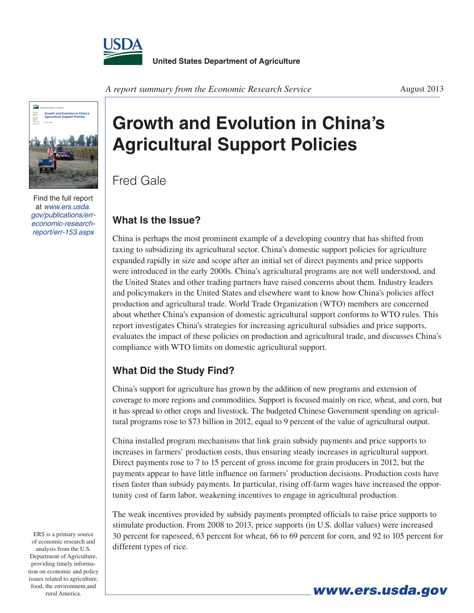



Find the full report at *www.ers.usda. [gov/publications/err](http://www.ers.usda.gov/publications/err-economic-research-report/err-153.aspx)economic-researchreport/err-153.aspx*

## **Growth and Evolution in China's Agricultural Support Policies**

Fred Gale

## **What Is the Issue?**

China is perhaps the most prominent example of a developing country that has shifted from taxing to subsidizing its agricultural sector. China's domestic support policies for agriculture expanded rapidly in size and scope after an initial set of direct payments and price supports were introduced in the early 2000s. China's agricultural programs are not well understood, and the United States and other trading partners have raised concerns about them. Industry leaders and policymakers in the United States and elsewhere want to know how China's policies affect production and agricultural trade. World Trade Organization (WTO) members are concerned about whether China's expansion of domestic agricultural support conforms to WTO rules. This report investigates China's strategies for increasing agricultural subsidies and price supports, evaluates the impact of these policies on production and agricultural trade, and discusses China's compliance with WTO limits on domestic agricultural support.

## **What Did the Study Find?**

China's support for agriculture has grown by the addition of new programs and extension of coverage to more regions and commodities. Support is focused mainly on rice, wheat, and corn, but it has spread to other crops and livestock. The budgeted Chinese Government spending on agricultural programs rose to \$73 billion in 2012, equal to 9 percent of the value of agricultural output.

China installed program mechanisms that link grain subsidy payments and price supports to increases in farmers' production costs, thus ensuring steady increases in agricultural support. Direct payments rose to 7 to 15 percent of gross income for grain producers in 2012, but the payments appear to have little influence on farmers' production decisions. Production costs have risen faster than subsidy payments. In particular, rising off-farm wages have increased the opportunity cost of farm labor, weakening incentives to engage in agricultural production.

The weak incentives provided by subsidy payments prompted officials to raise price supports to stimulate production. From 2008 to 2013, price supports (in U.S. dollar values) were increased 30 percent for rapeseed, 63 percent for wheat, 66 to 69 percent for corn, and 92 to 105 percent for different types of rice.

ERS is a primary source of economic research and analysis from the U.S. Department of Agriculture, providing timely information on economic and policy issues related to agriculture, food, the environment,and rural America.

*www.ers.usda.gov*